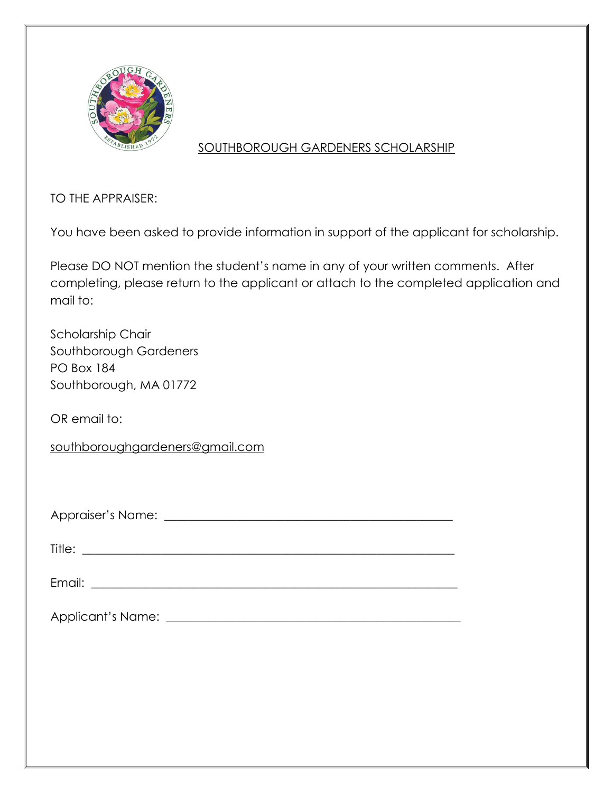

## SOUTHBOROUGH GARDENERS SCHOLARSHIP

TO THE APPRAISER:

You have been asked to provide information in support of the applicant for scholarship.

Please DO NOT mention the student's name in any of your written comments. After completing, please return to the applicant or attach to the completed application and mail to:

Scholarship Chair Southborough Gardeners PO Box 184 Southborough, MA 01772

OR email to:

[southboroughgardeners@gmail.com](mailto:southboroughgardeners@gmail.com)

Appraiser's Name: \_\_\_\_\_\_\_\_\_\_\_\_\_\_\_\_\_\_\_\_\_\_\_\_\_\_\_\_\_\_\_\_\_\_\_\_\_\_\_\_\_\_\_\_\_\_\_\_

Title: \_\_\_\_\_\_\_\_\_\_\_\_\_\_\_\_\_\_\_\_\_\_\_\_\_\_\_\_\_\_\_\_\_\_\_\_\_\_\_\_\_\_\_\_\_\_\_\_\_\_\_\_\_\_\_\_\_\_\_\_\_\_

Email: \_\_\_\_\_\_\_\_\_\_\_\_\_\_\_\_\_\_\_\_\_\_\_\_\_\_\_\_\_\_\_\_\_\_\_\_\_\_\_\_\_\_\_\_\_\_\_\_\_\_\_\_\_\_\_\_\_\_\_\_\_

Applicant's Name: \_\_\_\_\_\_\_\_\_\_\_\_\_\_\_\_\_\_\_\_\_\_\_\_\_\_\_\_\_\_\_\_\_\_\_\_\_\_\_\_\_\_\_\_\_\_\_\_\_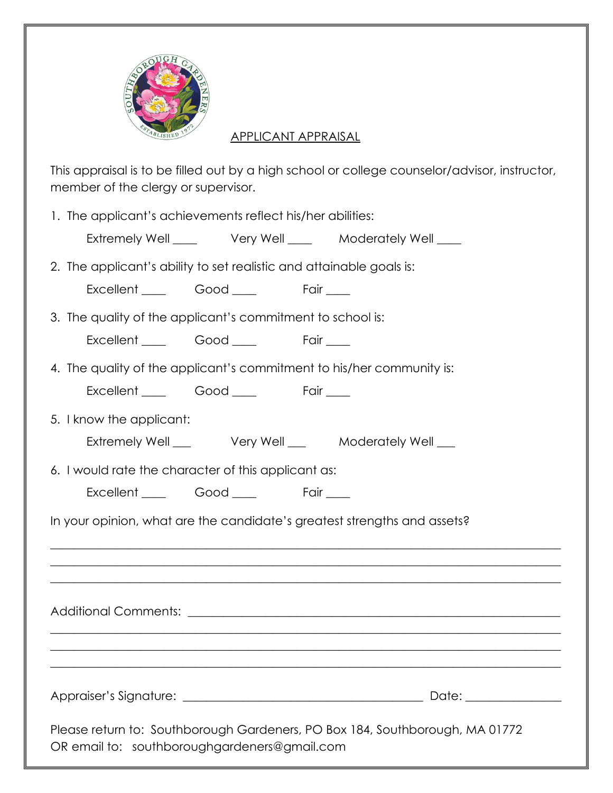

## APPLICANT APPRAISAL

This appraisal is to be filled out by a high school or college counselor/advisor, instructor, member of the clergy or supervisor.

1. The applicant's achievements reflect his/her abilities:

Extremely Well \_\_\_\_ Very Well \_\_\_\_ Moderately Well \_\_\_

2. The applicant's ability to set realistic and attainable goals is:

Excellent Good Fair

- 3. The quality of the applicant's commitment to school is:
	- Excellent \_\_\_\_ Good \_\_\_\_ Fair \_\_\_
- 4. The quality of the applicant's commitment to his/her community is:

Excellent \_\_\_\_ Good \_\_\_\_ Fair \_\_\_

5. I know the applicant:

- 6. I would rate the character of this applicant as:
	- Excellent \_\_\_\_ Good \_\_\_\_ Fair \_\_\_

In your opinion, what are the candidate's greatest strengths and assets?

Additional Comments: \_\_\_\_\_\_\_\_\_\_\_\_\_\_\_\_\_\_\_\_\_\_\_\_\_\_\_\_\_\_\_\_\_\_\_\_\_\_\_\_\_\_\_\_\_\_\_\_\_\_\_\_\_\_\_\_\_\_\_\_\_\_  $\_$  , and the set of the set of the set of the set of the set of the set of the set of the set of the set of the set of the set of the set of the set of the set of the set of the set of the set of the set of the set of th  $\_$  , and the set of the set of the set of the set of the set of the set of the set of the set of the set of the set of the set of the set of the set of the set of the set of the set of the set of the set of the set of th  $\_$  , and the set of the set of the set of the set of the set of the set of the set of the set of the set of the set of the set of the set of the set of the set of the set of the set of the set of the set of the set of th Appraiser's Signature: \_\_\_\_\_\_\_\_\_\_\_\_\_\_\_\_\_\_\_\_\_\_\_\_\_\_\_\_\_\_\_\_\_\_\_\_\_\_\_\_ Date: \_\_\_\_\_\_\_\_\_\_\_\_\_\_\_\_

 $\_$  , and the set of the set of the set of the set of the set of the set of the set of the set of the set of the set of the set of the set of the set of the set of the set of the set of the set of the set of the set of th  $\_$  , and the set of the set of the set of the set of the set of the set of the set of the set of the set of the set of the set of the set of the set of the set of the set of the set of the set of the set of the set of th  $\_$  , and the set of the set of the set of the set of the set of the set of the set of the set of the set of the set of the set of the set of the set of the set of the set of the set of the set of the set of the set of th

Please return to: Southborough Gardeners, PO Box 184, Southborough, MA 01772 OR email to: [southboroughgardeners@gmail.com](mailto:southboroughgardeners@gmail.com)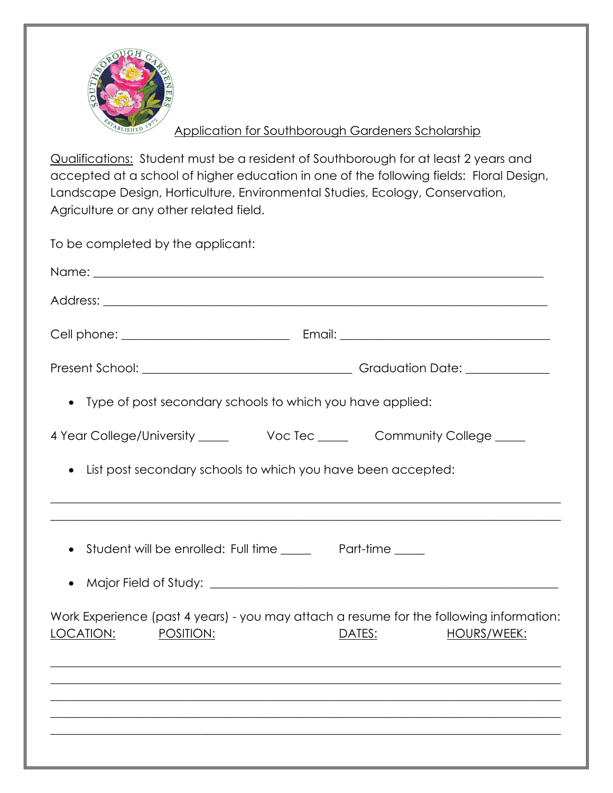

## Application for Southborough Gardeners Scholarship

Qualifications: Student must be a resident of Southborough for at least 2 years and accepted at a school of higher education in one of the following fields: Floral Design, Landscape Design, Horticulture, Environmental Studies, Ecology, Conservation, Agriculture or any other related field.

To be completed by the applicant: Name: \_\_\_\_\_\_\_\_\_\_\_\_\_\_\_\_\_\_\_\_\_\_\_\_\_\_\_\_\_\_\_\_\_\_\_\_\_\_\_\_\_\_\_\_\_\_\_\_\_\_\_\_\_\_\_\_\_\_\_\_\_\_\_\_\_\_\_\_\_\_\_\_\_\_\_ Address: \_\_\_\_\_\_\_\_\_\_\_\_\_\_\_\_\_\_\_\_\_\_\_\_\_\_\_\_\_\_\_\_\_\_\_\_\_\_\_\_\_\_\_\_\_\_\_\_\_\_\_\_\_\_\_\_\_\_\_\_\_\_\_\_\_\_\_\_\_\_\_\_\_\_ Cell phone: \_\_\_\_\_\_\_\_\_\_\_\_\_\_\_\_\_\_\_\_\_\_\_\_\_\_\_\_ Email: \_\_\_\_\_\_\_\_\_\_\_\_\_\_\_\_\_\_\_\_\_\_\_\_\_\_\_\_\_\_\_\_\_\_\_ Present School: \_\_\_\_\_\_\_\_\_\_\_\_\_\_\_\_\_\_\_\_\_\_\_\_\_\_\_\_\_\_\_\_\_\_\_ Graduation Date: \_\_\_\_\_\_\_\_\_\_\_\_\_\_ • Type of post secondary schools to which you have applied: 4 Year College/University \_\_\_\_\_ Voc Tec \_\_\_\_ Community College \_\_\_\_ • List post secondary schools to which you have been accepted:  $\_$  , and the set of the set of the set of the set of the set of the set of the set of the set of the set of the set of the set of the set of the set of the set of the set of the set of the set of the set of the set of th  $\_$  , and the set of the set of the set of the set of the set of the set of the set of the set of the set of the set of the set of the set of the set of the set of the set of the set of the set of the set of the set of th • Student will be enrolled: Full time **Example Part-time** Part-time • Major Field of Study: \_\_\_\_\_\_\_\_\_\_\_\_\_\_\_\_\_\_\_\_\_\_\_\_\_\_\_\_\_\_\_\_\_\_\_\_\_\_\_\_\_\_\_\_\_\_\_\_\_\_\_\_\_\_\_\_\_\_ Work Experience (past 4 years) - you may attach a resume for the following information: LOCATION: POSITION: DATES: HOURS/WEEK:  $\_$  , and the set of the set of the set of the set of the set of the set of the set of the set of the set of the set of the set of the set of the set of the set of the set of the set of the set of the set of the set of th  $\_$  , and the set of the set of the set of the set of the set of the set of the set of the set of the set of the set of the set of the set of the set of the set of the set of the set of the set of the set of the set of th  $\_$  , and the set of the set of the set of the set of the set of the set of the set of the set of the set of the set of the set of the set of the set of the set of the set of the set of the set of the set of the set of th  $\_$  , and the set of the set of the set of the set of the set of the set of the set of the set of the set of the set of the set of the set of the set of the set of the set of the set of the set of the set of the set of th  $\_$  , and the set of the set of the set of the set of the set of the set of the set of the set of the set of the set of the set of the set of the set of the set of the set of the set of the set of the set of the set of th